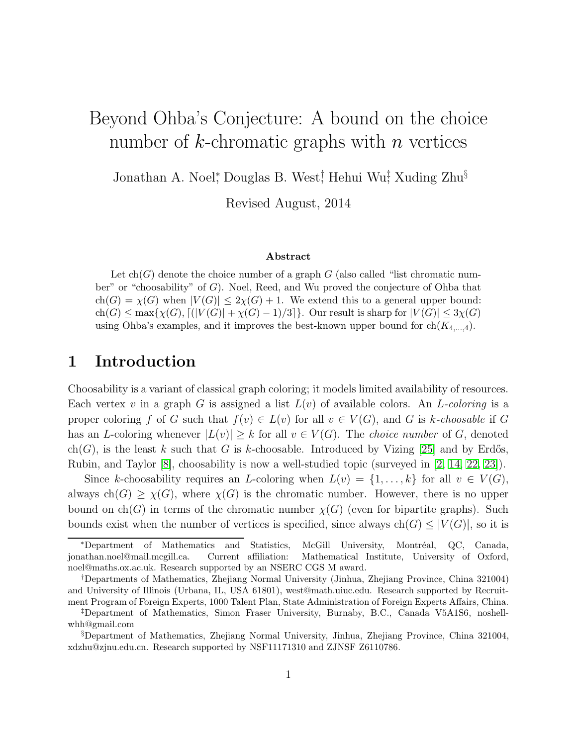# Beyond Ohba's Conjecture: A bound on the choice number of  $k$ -chromatic graphs with  $n$  vertices

Jonathan A. Noel<sup>\*</sup>, Douglas B. West<sup>†</sup>, Hehui Wu<sup>‡</sup>, Xuding Zhu<sup>§</sup>

Revised August, 2014

#### Abstract

Let  $ch(G)$  denote the choice number of a graph G (also called "list chromatic number" or "choosability" of  $G$ ). Noel, Reed, and Wu proved the conjecture of Ohba that  $ch(G) = \chi(G)$  when  $|V(G)| \leq 2\chi(G) + 1$ . We extend this to a general upper bound:  $\text{ch}(G) \le \max\{\chi(G), \lceil (|V(G)| + \chi(G) - 1)/3 \rceil\}.$  Our result is sharp for  $|V(G)| \le 3\chi(G)$ using Ohba's examples, and it improves the best-known upper bound for  $ch(K_{4,\dots,4})$ .

## 1 Introduction

Choosability is a variant of classical graph coloring; it models limited availability of resources. Each vertex v in a graph G is assigned a list  $L(v)$  of available colors. An L-coloring is a proper coloring f of G such that  $f(v) \in L(v)$  for all  $v \in V(G)$ , and G is k-choosable if G has an L-coloring whenever  $|L(v)| \geq k$  for all  $v \in V(G)$ . The *choice number* of G, denoted ch(G), is the least k such that G is k-choosable. Introduced by Vizing [\[25\]](#page-13-0) and by Erdős. Rubin, and Taylor [\[8\]](#page-12-0), choosability is now a well-studied topic (surveyed in [\[2,](#page-12-1) [14,](#page-12-2) [22,](#page-13-1) [23\]](#page-13-2)).

Since k-choosability requires an L-coloring when  $L(v) = \{1, \ldots, k\}$  for all  $v \in V(G)$ , always ch(G)  $\geq \chi(G)$ , where  $\chi(G)$  is the chromatic number. However, there is no upper bound on  $ch(G)$  in terms of the chromatic number  $\chi(G)$  (even for bipartite graphs). Such bounds exist when the number of vertices is specified, since always  $ch(G) \leq |V(G)|$ , so it is

<sup>\*</sup>Department of Mathematics and Statistics, McGill University, Montréal, QC, Canada, jonathan.noel@mail.mcgill.ca. Current affiliation: Mathematical Institute, University of Oxford, noel@maths.ox.ac.uk. Research supported by an NSERC CGS M award.

<sup>†</sup>Departments of Mathematics, Zhejiang Normal University (Jinhua, Zhejiang Province, China 321004) and University of Illinois (Urbana, IL, USA 61801), west@math.uiuc.edu. Research supported by Recruitment Program of Foreign Experts, 1000 Talent Plan, State Administration of Foreign Experts Affairs, China.

<sup>‡</sup>Department of Mathematics, Simon Fraser University, Burnaby, B.C., Canada V5A1S6, noshellwhh@gmail.com

<sup>§</sup>Department of Mathematics, Zhejiang Normal University, Jinhua, Zhejiang Province, China 321004, xdzhu@zjnu.edu.cn. Research supported by NSF11171310 and ZJNSF Z6110786.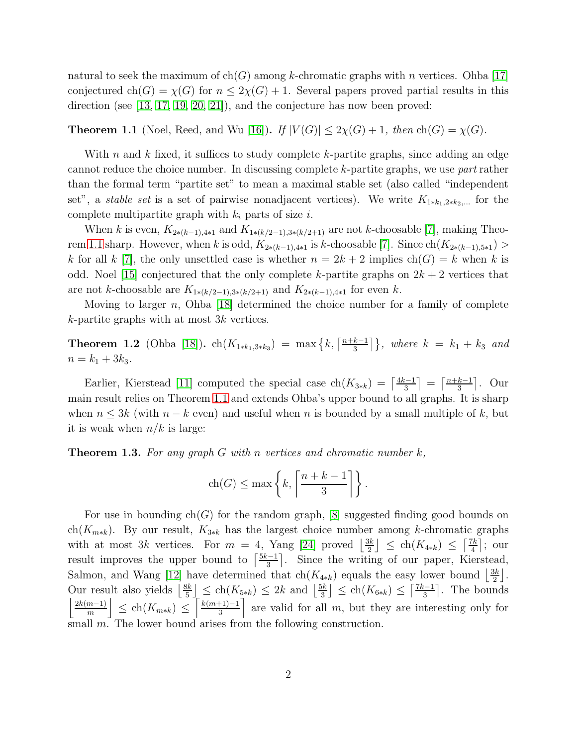natural to seek the maximum of ch(G) among k-chromatic graphs with n vertices. Ohba [\[17\]](#page-13-3) conjectured ch(G) =  $\chi$ (G) for  $n \leq 2\chi$ (G) + 1. Several papers proved partial results in this direction (see [\[13,](#page-12-3) [17,](#page-13-3) [19,](#page-13-4) [20,](#page-13-5) [21\]](#page-13-6)), and the conjecture has now been proved:

<span id="page-1-0"></span>**Theorem 1.1** (Noel, Reed, and Wu [\[16\]](#page-13-7)). If  $|V(G)| \leq 2\chi(G) + 1$ , then  $\text{ch}(G) = \chi(G)$ .

With n and  $k$  fixed, it suffices to study complete  $k$ -partite graphs, since adding an edge cannot reduce the choice number. In discussing complete k-partite graphs, we use part rather than the formal term "partite set" to mean a maximal stable set (also called "independent set", a *stable set* is a set of pairwise nonadjacent vertices). We write  $K_{1*k_1,2*k_2,...}$  for the complete multipartite graph with  $k_i$  parts of size i.

When k is even,  $K_{2*(k-1),4*1}$  and  $K_{1*(k/2-1),3*(k/2+1)}$  are not k-choosable [\[7\]](#page-12-4), making Theo-rem [1.1](#page-1-0) sharp. However, when k is odd,  $K_{2*(k-1),4*1}$  is k-choosable [\[7\]](#page-12-4). Since  $\text{ch}(K_{2*(k-1),5*1})$  > k for all k [\[7\]](#page-12-4), the only unsettled case is whether  $n = 2k + 2$  implies  $ch(G) = k$  when k is odd. Noel [\[15\]](#page-12-5) conjectured that the only complete k-partite graphs on  $2k + 2$  vertices that are not k-choosable are  $K_{1*(k/2-1),3*(k/2+1)}$  and  $K_{2*(k-1),4*1}$  for even k.

Moving to larger n, Ohba [\[18\]](#page-13-8) determined the choice number for a family of complete k-partite graphs with at most 3k vertices.

<span id="page-1-2"></span>**Theorem 1.2** (Ohba [\[18\]](#page-13-8)). ch( $K_{1*k_1,3*k_3}$ ) = max  $\{k, \lceil \frac{n+k-1}{3} \rceil \}$  $\left\{\frac{k-1}{3}\right\}$ , where  $k = k_1 + k_3$  and  $n = k_1 + 3k_3.$ 

Earlier, Kierstead [\[11\]](#page-12-6) computed the special case  $\text{ch}(K_{3*k}) = \left\lceil \frac{4k-1}{3} \right\rceil$  $\left\lfloor \frac{n+k-1}{3} \right\rfloor = \left\lceil \frac{n+k-1}{3} \right\rceil$  $\frac{k-1}{3}$ . Our main result relies on Theorem [1.1](#page-1-0) and extends Ohba's upper bound to all graphs. It is sharp when  $n \leq 3k$  (with  $n - k$  even) and useful when n is bounded by a small multiple of k, but it is weak when  $n/k$  is large:

<span id="page-1-1"></span>**Theorem 1.3.** For any graph G with n vertices and chromatic number  $k$ ,

$$
ch(G) \le \max\left\{k, \left\lceil \frac{n+k-1}{3} \right\rceil \right\}.
$$

For use in bounding  $ch(G)$  for the random graph, [\[8\]](#page-12-0) suggested finding good bounds on ch( $K_{m*k}$ ). By our result,  $K_{3*k}$  has the largest choice number among k-chromatic graphs with at most 3k vertices. For  $m = 4$ , Yang [\[24\]](#page-13-9) proved  $\frac{3k}{2}$  $\frac{3k}{2}$ ]  $\leq$  ch( $K_{4*k}$ )  $\leq \left\lceil \frac{7k}{4} \right\rceil$  $\frac{7k}{4}$ ; our result improves the upper bound to  $\lceil \frac{5k-1}{3} \rceil$  $\frac{3}{3}$ . Since the writing of our paper, Kierstead, Salmon, and Wang [\[12\]](#page-12-7) have determined that  $ch(K_{4*k})$  equals the easy lower bound  $\left|\frac{3k}{2}\right|$ . bannon, and wang [12] have determined that  $\text{cn}(X_{4*})$  equals the easy lower bound [2]<br>Our result also yields  $\left|\frac{8k}{5}\right| \le \text{ch}(K_{5*}) \le 2k$  and  $\left|\frac{5k}{3}\right| \le \text{ch}(K_{6*}) \le \left[\frac{7k-1}{3}\right]$ . The bound  $\frac{3k}{5}$   $\leq$  ch( $K_{5*k}$ )  $\leq$  2k and  $\left\lfloor \frac{5k}{3} \right\rfloor$  $\frac{3k}{3}$ ]  $\leq$  ch( $K_{6*k}$ )  $\leq \left\lceil \frac{7k-1}{3} \right\rceil$  $\left[\frac{n-1}{3}\right]$ . The bounds  $2k(m-1)$  $\left| \frac{m-1}{m} \right| \leq \text{ch}(K_{m*k}) \leq \left[ \frac{k(m+1)-1}{3} \right]$  $\frac{+1}{3}$  are valid for all m, but they are interesting only for small m. The lower bound arises from the following construction.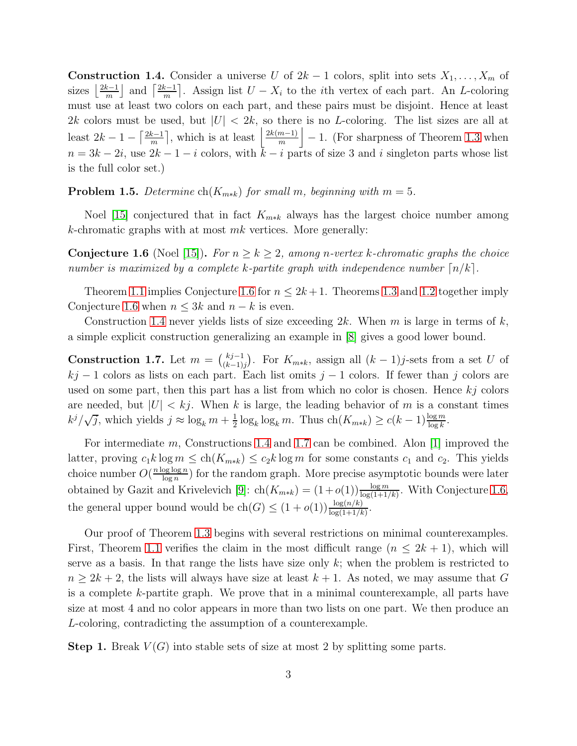<span id="page-2-1"></span>**Construction 1.4.** Consider a universe U of  $2k - 1$  colors, split into sets  $X_1, \ldots, X_m$  of sizes  $\frac{2k-1}{m}$  $\left\lfloor \frac{k-1}{m} \right\rfloor$  and  $\left\lceil \frac{2k-1}{m} \right\rceil$  $\frac{k-1}{m}$ . Assign list  $U - X_i$  to the *i*th vertex of each part. An *L*-coloring must use at least two colors on each part, and these pairs must be disjoint. Hence at least 2k colors must be used, but  $|U| < 2k$ , so there is no L-coloring. The list sizes are all at least  $2k-1-\left\lceil \frac{2k-1}{m}\right\rceil$  $\left\lfloor \frac{k-1}{m} \right\rfloor$ , which is at least  $\left\lfloor \frac{2k(m-1)}{m} \right\rfloor$  $\left\lfloor \frac{m-1}{m} \right\rfloor - 1$ . (For sharpness of Theorem [1.3](#page-1-1) when  $n = 3k - 2i$ , use  $2k - 1 - i$  colors, with  $k - i$  parts of size 3 and i singleton parts whose list is the full color set.)

**Problem 1.5.** Determine  $\text{ch}(K_{m*k})$  for small m, beginning with  $m = 5$ .

Noel [\[15\]](#page-12-5) conjectured that in fact  $K_{m*k}$  always has the largest choice number among k-chromatic graphs with at most  $mk$  vertices. More generally:

<span id="page-2-0"></span>**Conjecture 1.6** (Noel [\[15\]](#page-12-5)). For  $n \geq k \geq 2$ , among n-vertex k-chromatic graphs the choice number is maximized by a complete k-partite graph with independence number  $\lceil n/k \rceil$ .

Theorem [1.1](#page-1-0) implies Conjecture [1.6](#page-2-0) for  $n \leq 2k+1$ . Theorems [1.3](#page-1-1) and [1.2](#page-1-2) together imply Conjecture [1.6](#page-2-0) when  $n \leq 3k$  and  $n - k$  is even.

Construction [1.4](#page-2-1) never yields lists of size exceeding  $2k$ . When m is large in terms of k, a simple explicit construction generalizing an example in [\[8\]](#page-12-0) gives a good lower bound.

<span id="page-2-2"></span>Construction 1.7. Let  $m = \binom{kj-1}{k-1}$  $\binom{kj-1}{(k-1)j}$ . For  $K_{m*k}$ , assign all  $(k-1)j$ -sets from a set U of  $kj - 1$  colors as lists on each part. Each list omits  $j - 1$  colors. If fewer than j colors are used on some part, then this part has a list from which no color is chosen. Hence  $kj$  colors are needed, but  $|U| < k<sub>j</sub>$ . When k is large, the leading behavior of m is a constant times  $k^j/\sqrt{j}$ , which yields  $j \approx \log_k m + \frac{1}{2}$  $\frac{1}{2}\log_k \log_k m$ . Thus  $\text{ch}(K_{m*k}) \ge c(k-1)\frac{\log m}{\log k}$ .

For intermediate m, Constructions [1.4](#page-2-1) and [1.7](#page-2-2) can be combined. Alon [\[1\]](#page-12-8) improved the latter, proving  $c_1k \log m \leq ch(K_{m*k}) \leq c_2k \log m$  for some constants  $c_1$  and  $c_2$ . This yields choice number  $O(\frac{n \log \log n}{\log n})$  $\frac{\log \log n}{\log n}$ ) for the random graph. More precise asymptotic bounds were later obtained by Gazit and Krivelevich [\[9\]](#page-12-9):  $\text{ch}(K_{m*k}) = (1+o(1)) \frac{\log m}{\log(1+1/k)}$ . With Conjecture [1.6,](#page-2-0) the general upper bound would be  $ch(G) \leq (1+o(1))\frac{\log(n/k)}{\log(1+1/k)}$ .

Our proof of Theorem [1.3](#page-1-1) begins with several restrictions on minimal counterexamples. First, Theorem [1.1](#page-1-0) verifies the claim in the most difficult range  $(n \leq 2k+1)$ , which will serve as a basis. In that range the lists have size only  $k$ ; when the problem is restricted to  $n \geq 2k + 2$ , the lists will always have size at least  $k + 1$ . As noted, we may assume that G is a complete k-partite graph. We prove that in a minimal counterexample, all parts have size at most 4 and no color appears in more than two lists on one part. We then produce an L-coloring, contradicting the assumption of a counterexample.

<span id="page-2-3"></span>**Step 1.** Break  $V(G)$  into stable sets of size at most 2 by splitting some parts.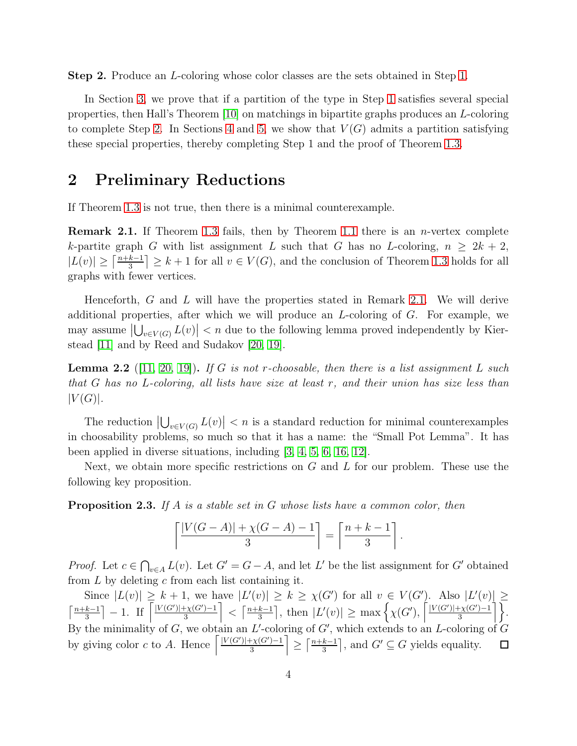<span id="page-3-0"></span>Step 2. Produce an L-coloring whose color classes are the sets obtained in Step [1.](#page-2-3)

In Section [3,](#page-5-0) we prove that if a partition of the type in Step [1](#page-2-3) satisfies several special properties, then Hall's Theorem [\[10\]](#page-12-10) on matchings in bipartite graphs produces an L-coloring to complete Step [2.](#page-3-0) In Sections [4](#page-6-0) and [5,](#page-10-0) we show that  $V(G)$  admits a partition satisfying these special properties, thereby completing Step 1 and the proof of Theorem [1.3.](#page-1-1)

#### 2 Preliminary Reductions

If Theorem [1.3](#page-1-1) is not true, then there is a minimal counterexample.

<span id="page-3-1"></span>**Remark 2.1.** If Theorem [1.3](#page-1-1) fails, then by Theorem [1.1](#page-1-0) there is an *n*-vertex complete k-partite graph G with list assignment L such that G has no L-coloring,  $n \geq 2k + 2$ ,  $|L(v)| \geq \left\lceil \frac{n+k-1}{3} \right\rceil$  $\left\lfloor \frac{k-1}{3} \right\rfloor \geq k+1$  for all  $v \in V(G)$ , and the conclusion of Theorem [1.3](#page-1-1) holds for all graphs with fewer vertices.

Henceforth,  $G$  and  $L$  will have the properties stated in Remark [2.1.](#page-3-1) We will derive additional properties, after which we will produce an L-coloring of G. For example, we may assume  $\left|\bigcup_{v\in V(G)} L(v)\right| < n$  due to the following lemma proved independently by Kierstead [\[11\]](#page-12-6) and by Reed and Sudakov [\[20,](#page-13-5) [19\]](#page-13-4).

<span id="page-3-3"></span>**Lemma 2.2** ([\[11,](#page-12-6) [20,](#page-13-5) [19\]](#page-13-4)). If G is not r-choosable, then there is a list assignment L such that G has no L-coloring, all lists have size at least r, and their union has size less than  $|V(G)|$ .

The reduction  $|\bigcup_{v \in V(G)} L(v)| < n$  is a standard reduction for minimal counterexamples in choosability problems, so much so that it has a name: the "Small Pot Lemma". It has been applied in diverse situations, including [\[3,](#page-12-11) [4,](#page-12-12) [5,](#page-12-13) [6,](#page-12-14) [16,](#page-13-7) [12\]](#page-12-7).

Next, we obtain more specific restrictions on  $G$  and  $L$  for our problem. These use the following key proposition.

<span id="page-3-2"></span>**Proposition 2.3.** If A is a stable set in G whose lists have a common color, then

$$
\left\lceil \frac{|V(G-A)| + \chi(G-A) - 1}{3} \right\rceil = \left\lceil \frac{n+k-1}{3} \right\rceil
$$

.

*Proof.* Let  $c \in \bigcap_{v \in A} L(v)$ . Let  $G' = G - A$ , and let L' be the list assignment for G' obtained from  $L$  by deleting  $c$  from each list containing it.

Since  $|L(v)| \geq k+1$ , we have  $|L'(v)| \geq k \geq \chi(G')$  for all  $v \in V(G')$ . Also  $|L'(v)| \geq$  $\frac{k-1}{3}$  - 1. If  $\left[\frac{|V(G')| + \chi(G') - 1}{3}\right]$  $\frac{k-1}{3}$ , then  $|L'(v)| \ge \max\left\{\chi(G'), \left\lceil \frac{|V(G')| + \chi(G') - 1}{3}\right\rceil \right\}$  $\left\lfloor \frac{\ln(k-1)}{3} \right\rfloor < \left\lceil \frac{n+k-1}{3} \right\rceil$  $\frac{\frac{1}{2} \chi(G') - 1}{3}$ .  $\lceil \frac{n+k-1}{3} \rceil$ By the minimality of  $G$ , we obtain an  $L'$ -coloring of  $G'$ , which extends to an  $L$ -coloring of  $G$ by giving color c to A. Hence  $\left[\frac{|V(G')| + \chi(G') - 1}{3}\right]$  $\frac{1}{3}$  $\geq \lceil \frac{n+k-1}{3} \rceil$  $\left[\frac{k-1}{3}\right]$ , and  $G' \subseteq G$  yields equality.  $\Box$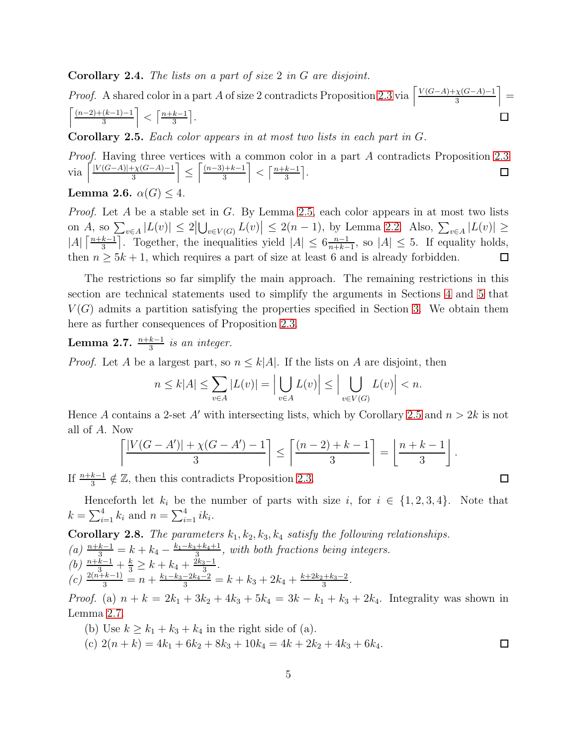<span id="page-4-3"></span>Corollary 2.4. The lists on a part of size 2 in G are disjoint.

*Proof.* A shared color in a part A of size 2 contradicts Proposition [2.3](#page-3-2) via  $\left[\frac{V(G-A)+\chi(G-A)-1}{3}\right]$  $\frac{\chi(G-A)-1}{3}$  =  $\lceil \frac{(n-2)+(k-1)-1}{k-1} \rceil$  $\left\lfloor \frac{(k-1)-1}{3} \right\rfloor < \left\lceil \frac{n+k-1}{3} \right\rceil$  $\frac{k-1}{3}$ .  $\Box$ 

<span id="page-4-0"></span>Corollary 2.5. Each color appears in at most two lists in each part in G.

Proof. Having three vertices with a common color in a part A contradicts Proposition [2.3](#page-3-2) via  $\left[\frac{|V(G-A)|+\chi(G-A)-1}{3}\right]$  $\frac{1}{3} \sqrt{(G-A)-1}$  $\lceil (n-3)+k-1 \rceil$  $\left\lfloor \frac{k-1}{3} \right\rfloor < \left\lceil \frac{n+k-1}{3} \right\rceil$  $\frac{k-1}{3}$ .  $\Box$ ≤ Lemma 2.6.  $\alpha(G) \leq 4$ .

*Proof.* Let A be a stable set in G. By Lemma [2.5,](#page-4-0) each color appears in at most two lists on A, so  $\sum_{v\in A} |L(v)| \leq 2|\bigcup_{v\in V(G)} L(v)| \leq 2(n-1)$ , by Lemma [2.2.](#page-3-3) Also,  $\sum_{v\in A} |L(v)| \geq$  $|A| \left\lceil \frac{n+k-1}{3} \right\rceil$  $\frac{k-1}{3}$ . Together, the inequalities yield  $|A| \leq 6 \frac{n-1}{n+k-1}$  $\frac{n-1}{n+k-1}$ , so  $|A| \leq 5$ . If equality holds,

then  $n \geq 5k + 1$ , which requires a part of size at least 6 and is already forbidden.

The restrictions so far simplify the main approach. The remaining restrictions in this section are technical statements used to simplify the arguments in Sections [4](#page-6-0) and [5](#page-10-0) that  $V(G)$  admits a partition satisfying the properties specified in Section [3.](#page-5-0) We obtain them here as further consequences of Proposition [2.3.](#page-3-2)

 $\Box$ 

 $\Box$ 

 $\Box$ 

<span id="page-4-1"></span>**Lemma 2.7.**  $\frac{n+k-1}{3}$  is an integer.

*Proof.* Let A be a largest part, so  $n \leq k|A|$ . If the lists on A are disjoint, then

$$
n \le k|A| \le \sum_{v \in A} |L(v)| = \Big| \bigcup_{v \in A} L(v) \Big| \le \Big| \bigcup_{v \in V(G)} L(v) \Big| < n.
$$

Hence A contains a 2-set A' with intersecting lists, which by Corollary [2.5](#page-4-0) and  $n > 2k$  is not all of A. Now

$$
\left\lceil \frac{|V(G-A')| + \chi(G-A') - 1}{3} \right\rceil \le \left\lceil \frac{(n-2) + k - 1}{3} \right\rceil = \left\lfloor \frac{n+k-1}{3} \right\rfloor.
$$

If  $\frac{n+k-1}{3} \notin \mathbb{Z}$ , then this contradicts Proposition [2.3.](#page-3-2)

Henceforth let  $k_i$  be the number of parts with size i, for  $i \in \{1, 2, 3, 4\}$ . Note that  $k = \sum_{i=1}^{4} k_i$  and  $n = \sum_{i=1}^{4} ik_i$ .

<span id="page-4-2"></span>**Corollary 2.8.** The parameters  $k_1, k_2, k_3, k_4$  satisfy the following relationships. (a)  $\frac{n+k-1}{3} = k + k_4 - \frac{k_1-k_3+k_4+1}{3}$  $\frac{3+2k_4+1}{3}$ , with both fractions being integers. (b)  $\frac{n+k-1}{3} + \frac{k}{3} \ge k + k_4 + \frac{2k_3-1}{3}$  $\frac{3-1}{3}$ .  $\binom{c}{3} \frac{2(n+k-1)}{3} = n + \frac{k_1-k_3-2k_4-2}{3} = k + k_3 + 2k_4 + \frac{k+2k_2+k_3-2}{3}$  $\frac{+k_3-2}{3}$ .

*Proof.* (a)  $n + k = 2k_1 + 3k_2 + 4k_3 + 5k_4 = 3k - k_1 + k_3 + 2k_4$ . Integrality was shown in Lemma [2.7.](#page-4-1)

(b) Use  $k \geq k_1 + k_3 + k_4$  in the right side of (a). (c)  $2(n+k) = 4k_1 + 6k_2 + 8k_3 + 10k_4 = 4k_1 + 2k_2 + 4k_3 + 6k_4$ .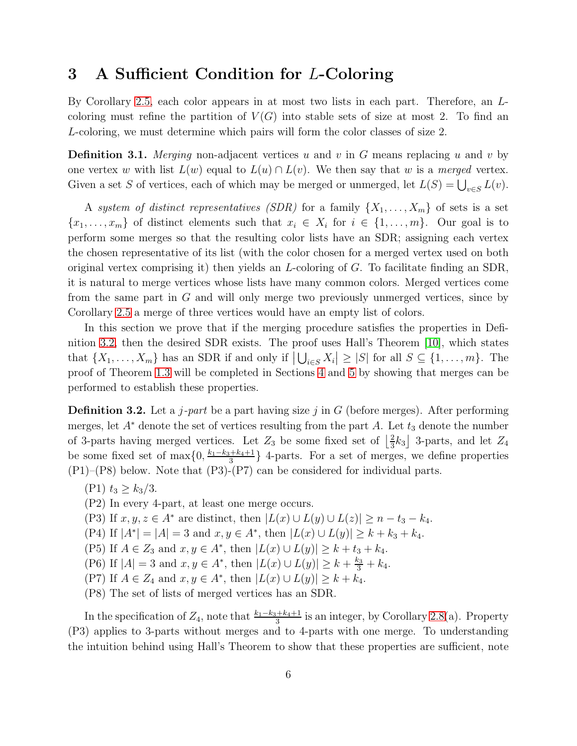### <span id="page-5-0"></span>3 A Sufficient Condition for L-Coloring

By Corollary [2.5,](#page-4-0) each color appears in at most two lists in each part. Therefore, an Lcoloring must refine the partition of  $V(G)$  into stable sets of size at most 2. To find an L-coloring, we must determine which pairs will form the color classes of size 2.

**Definition 3.1.** Merging non-adjacent vertices u and v in G means replacing u and v by one vertex w with list  $L(w)$  equal to  $L(u) \cap L(v)$ . We then say that w is a merged vertex. Given a set S of vertices, each of which may be merged or unmerged, let  $L(S) = \bigcup_{v \in S} L(v)$ .

A system of distinct representatives (SDR) for a family  $\{X_1, \ldots, X_m\}$  of sets is a set  $\{x_1, \ldots, x_m\}$  of distinct elements such that  $x_i \in X_i$  for  $i \in \{1, \ldots, m\}$ . Our goal is to perform some merges so that the resulting color lists have an SDR; assigning each vertex the chosen representative of its list (with the color chosen for a merged vertex used on both original vertex comprising it) then yields an L-coloring of G. To facilitate finding an SDR, it is natural to merge vertices whose lists have many common colors. Merged vertices come from the same part in G and will only merge two previously unmerged vertices, since by Corollary [2.5](#page-4-0) a merge of three vertices would have an empty list of colors.

In this section we prove that if the merging procedure satisfies the properties in Definition [3.2,](#page-5-1) then the desired SDR exists. The proof uses Hall's Theorem [\[10\]](#page-12-10), which states that  $\{X_1, \ldots, X_m\}$  has an SDR if and only if  $|\bigcup_{i \in S} X_i| \geq |S|$  for all  $S \subseteq \{1, \ldots, m\}$ . The proof of Theorem [1.3](#page-1-1) will be completed in Sections [4](#page-6-0) and [5](#page-10-0) by showing that merges can be performed to establish these properties.

<span id="page-5-1"></span>**Definition 3.2.** Let a *j*-part be a part having size j in G (before merges). After performing merges, let  $A^*$  denote the set of vertices resulting from the part A. Let  $t_3$  denote the number of 3-parts having merged vertices. Let  $Z_3$  be some fixed set of  $\frac{2}{3}$  $\frac{2}{3}k_3$  3-parts, and let  $Z_4$ be some fixed set of  $\max\{0, \frac{k_1-k_3+k_4+1}{3}$  $\frac{3+2k_4+1}{3}$  4-parts. For a set of merges, we define properties (P1)–(P8) below. Note that (P3)-(P7) can be considered for individual parts.

- $(P1)$   $t_3 > k_3/3$ .
- (P2) In every 4-part, at least one merge occurs.
- (P3) If  $x, y, z \in A^*$  are distinct, then  $|L(x) \cup L(y) \cup L(z)| \geq n t_3 k_4$ .
- (P4) If  $|A^*| = |A| = 3$  and  $x, y \in A^*$ , then  $|L(x) \cup L(y)| \ge k + k_3 + k_4$ .
- (P5) If  $A \in Z_3$  and  $x, y \in A^*$ , then  $|L(x) \cup L(y)| \geq k + t_3 + k_4$ .
- (P6) If  $|A| = 3$  and  $x, y \in A^*$ , then  $|L(x) \cup L(y)| \ge k + \frac{k_3}{3} + k_4$ .
- (P7) If  $A \in Z_4$  and  $x, y \in A^*$ , then  $|L(x) \cup L(y)| \geq k + k_4$ .
- (P8) The set of lists of merged vertices has an SDR.

In the specification of  $Z_4$ , note that  $\frac{k_1-k_3+k_4+1}{3}$  is an integer, by Corollary [2.8\(](#page-4-2)a). Property (P3) applies to 3-parts without merges and to 4-parts with one merge. To understanding the intuition behind using Hall's Theorem to show that these properties are sufficient, note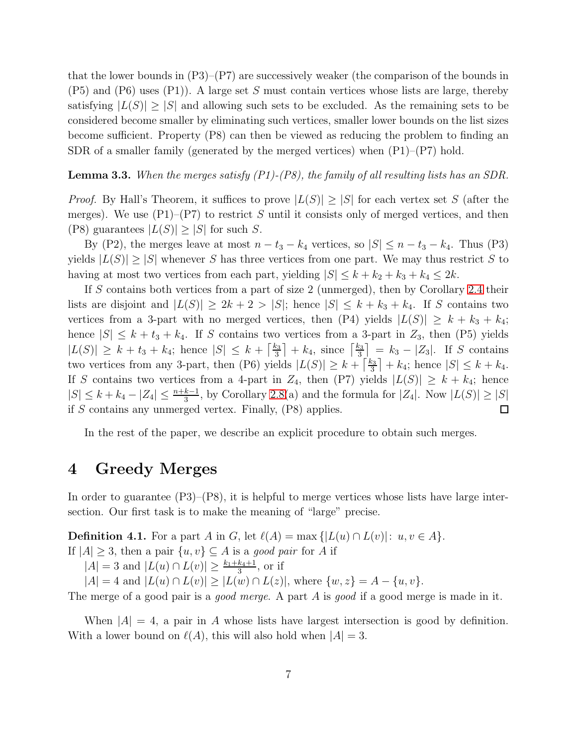that the lower bounds in  $(P3)$ – $(P7)$  are successively weaker (the comparison of the bounds in  $(P5)$  and  $(P6)$  uses  $(P1)$ ). A large set S must contain vertices whose lists are large, thereby satisfying  $|L(S)| > |S|$  and allowing such sets to be excluded. As the remaining sets to be considered become smaller by eliminating such vertices, smaller lower bounds on the list sizes become sufficient. Property (P8) can then be viewed as reducing the problem to finding an SDR of a smaller family (generated by the merged vertices) when  $(P1)$ – $(P7)$  hold.

#### <span id="page-6-2"></span>**Lemma 3.3.** When the merges satisfy  $(PI)-(P8)$ , the family of all resulting lists has an SDR.

*Proof.* By Hall's Theorem, it suffices to prove  $|L(S)| \geq |S|$  for each vertex set S (after the merges). We use  $(P1)$ – $(P7)$  to restrict S until it consists only of merged vertices, and then (P8) guarantees  $|L(S)| \geq |S|$  for such S.

By (P2), the merges leave at most  $n - t_3 - k_4$  vertices, so  $|S| \leq n - t_3 - k_4$ . Thus (P3) yields  $|L(S)| > |S|$  whenever S has three vertices from one part. We may thus restrict S to having at most two vertices from each part, yielding  $|S| \leq k + k_2 + k_3 + k_4 \leq 2k$ .

If S contains both vertices from a part of size 2 (unmerged), then by Corollary [2.4](#page-4-3) their lists are disjoint and  $|L(S)| \geq 2k + 2 > |S|$ ; hence  $|S| \leq k + k_3 + k_4$ . If S contains two vertices from a 3-part with no merged vertices, then (P4) yields  $|L(S)| \geq k + k_3 + k_4$ ; hence  $|S| \leq k + t_3 + k_4$ . If S contains two vertices from a 3-part in  $Z_3$ , then (P5) yields  $|L(S)| \geq k + t_3 + k_4$ ; hence  $|S| \leq k + \left\lceil \frac{k_3}{3} \right\rceil$  $\left[\frac{k_3}{3}\right] + k_4$ , since  $\left[\frac{k_3}{3}\right]$  $\frac{k_3}{3}$  =  $k_3 - |Z_3|$ . If S contains two vertices from any 3-part, then (P6) yields  $|L(S)| \geq k + \lceil \frac{k_3}{3} \rceil$  $\frac{k_3}{3}$  + k<sub>4</sub>; hence  $|S| \leq k + k_4$ . If S contains two vertices from a 4-part in  $Z_4$ , then (P7) yields  $|L(S)| \geq k + k_4$ ; hence  $|S| \leq k + k_4 - |Z_4| \leq \frac{n+k-1}{3}$ , by Corollary [2.8\(](#page-4-2)a) and the formula for  $|Z_4|$ . Now  $|L(S)| \geq |S|$ if S contains any unmerged vertex. Finally, (P8) applies.  $\Box$ 

In the rest of the paper, we describe an explicit procedure to obtain such merges.

### <span id="page-6-0"></span>4 Greedy Merges

In order to guarantee (P3)–(P8), it is helpful to merge vertices whose lists have large intersection. Our first task is to make the meaning of "large" precise.

<span id="page-6-1"></span>**Definition 4.1.** For a part A in G, let  $\ell(A) = \max\{|L(u) \cap L(v)|: u, v \in A\}.$ If  $|A| \geq 3$ , then a pair  $\{u, v\} \subseteq A$  is a good pair for A if

 $|A| = 3$  and  $|L(u) \cap L(v)| \ge \frac{k_1 + k_4 + 1}{3}$ , or if

 $|A| = 4$  and  $|L(u) \cap L(v)| \geq |L(w) \cap L(z)|$ , where  $\{w, z\} = A - \{u, v\}.$ 

The merge of a good pair is a *good merge*. A part A is good if a good merge is made in it.

When  $|A| = 4$ , a pair in A whose lists have largest intersection is good by definition. With a lower bound on  $\ell(A)$ , this will also hold when  $|A| = 3$ .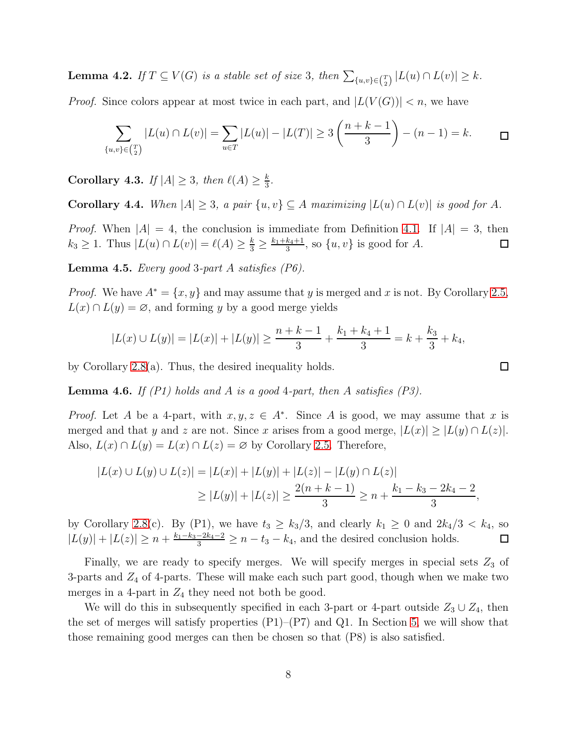<span id="page-7-4"></span>**Lemma 4.2.** If  $T \subseteq V(G)$  is a stable set of size 3, then  $\sum_{\{u,v\} \in {T \choose 2}} |L(u) \cap L(v)| \geq k$ .

*Proof.* Since colors appear at most twice in each part, and  $|L(V(G))| < n$ , we have

$$
\sum_{\{u,v\} \in \binom{T}{2}} |L(u) \cap L(v)| = \sum_{u \in T} |L(u)| - |L(T)| \ge 3\left(\frac{n+k-1}{3}\right) - (n-1) = k. \qquad \Box
$$

<span id="page-7-2"></span>**Corollary 4.3.** If  $|A| \geq 3$ , then  $\ell(A) \geq \frac{k}{3}$  $\frac{k}{3}$ .

<span id="page-7-0"></span>Corollary 4.4. When  $|A| \geq 3$ , a pair  $\{u, v\} \subseteq A$  maximizing  $|L(u) \cap L(v)|$  is good for A.

*Proof.* When  $|A| = 4$ , the conclusion is immediate from Definition [4.1.](#page-6-1) If  $|A| = 3$ , then  $k_3 \geq 1$ . Thus  $|L(u) \cap L(v)| = \ell(A) \geq \frac{k}{3} \geq \frac{k_1 + k_4 + 1}{3}$  $\frac{k_4+1}{3}$ , so  $\{u, v\}$  is good for A.  $\Box$ 

<span id="page-7-1"></span>**Lemma 4.5.** Every good 3-part A satisfies  $(P6)$ .

*Proof.* We have  $A^* = \{x, y\}$  and may assume that y is merged and x is not. By Corollary [2.5,](#page-4-0)  $L(x) \cap L(y) = \emptyset$ , and forming y by a good merge yields

$$
|L(x) \cup L(y)| = |L(x)| + |L(y)| \ge \frac{n+k-1}{3} + \frac{k_1+k_4+1}{3} = k + \frac{k_3}{3} + k_4,
$$

by Corollary [2.8\(](#page-4-2)a). Thus, the desired inequality holds.

<span id="page-7-3"></span>**Lemma 4.6.** If  $(PI)$  holds and A is a good 4-part, then A satisfies  $(PS)$ .

*Proof.* Let A be a 4-part, with  $x, y, z \in A^*$ . Since A is good, we may assume that x is merged and that y and z are not. Since x arises from a good merge,  $|L(x)| \ge |L(y) \cap L(z)|$ . Also,  $L(x) \cap L(y) = L(x) \cap L(z) = \emptyset$  by Corollary [2.5.](#page-4-0) Therefore,

$$
|L(x) \cup L(y) \cup L(z)| = |L(x)| + |L(y)| + |L(z)| - |L(y) \cap L(z)|
$$
  
\n
$$
\geq |L(y)| + |L(z)| \geq \frac{2(n+k-1)}{3} \geq n + \frac{k_1 - k_3 - 2k_4 - 2}{3},
$$

by Corollary [2.8\(](#page-4-2)c). By (P1), we have  $t_3 \geq k_3/3$ , and clearly  $k_1 \geq 0$  and  $2k_4/3 < k_4$ , so  $|L(y)| + |L(z)| \ge n + \frac{k_1 - k_3 - 2k_4 - 2}{3} \ge n - t_3 - k_4$ , and the desired conclusion holds.  $\Box$ 

Finally, we are ready to specify merges. We will specify merges in special sets  $Z_3$  of 3-parts and  $Z_4$  of 4-parts. These will make each such part good, though when we make two merges in a 4-part in  $Z_4$  they need not both be good.

We will do this in subsequently specified in each 3-part or 4-part outside  $Z_3 \cup Z_4$ , then the set of merges will satisfy properties  $(P1)$ – $(P7)$  and Q1. In Section [5,](#page-10-0) we will show that those remaining good merges can then be chosen so that (P8) is also satisfied.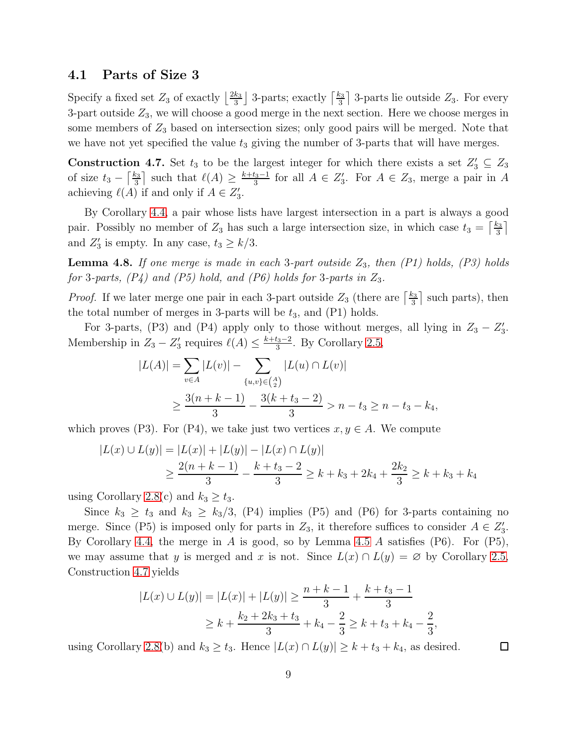#### 4.1 Parts of Size 3

Specify a fixed set  $Z_3$  of exactly  $\left\lfloor \frac{2k_3}{3} \right\rfloor$  $\frac{k_3}{3}$  3-parts; exactly  $\lceil \frac{k_3}{3} \rceil$  $\frac{\epsilon_3}{3}$  3-parts lie outside  $Z_3$ . For every 3-part outside  $Z_3$ , we will choose a good merge in the next section. Here we choose merges in some members of  $Z_3$  based on intersection sizes; only good pairs will be merged. Note that we have not yet specified the value  $t_3$  giving the number of 3-parts that will have merges.

<span id="page-8-0"></span>**Construction 4.7.** Set  $t_3$  to be the largest integer for which there exists a set  $Z'_3 \subseteq Z_3$ of size  $t_3 - \left\lceil \frac{k_3}{3} \right\rceil$  $\frac{k_{3}}{3}$  such that  $\ell(A) \geq \frac{k+t_{3}-1}{3}$  $\frac{f_3-1}{3}$  for all  $A \in Z'_3$ . For  $A \in Z_3$ , merge a pair in A achieving  $\ell(A)$  if and only if  $A \in Z'_3$ .

By Corollary [4.4,](#page-7-0) a pair whose lists have largest intersection in a part is always a good pair. Possibly no member of  $Z_3$  has such a large intersection size, in which case  $t_3 = \left[\frac{k_3}{3}\right]$  $\frac{x_3}{3}$ and  $Z'_3$  is empty. In any case,  $t_3 \geq k/3$ .

<span id="page-8-1"></span>**Lemma 4.8.** If one merge is made in each 3-part outside  $Z_3$ , then  $(PI)$  holds,  $(P3)$  holds for 3-parts,  $(P_4)$  and  $(P_5)$  hold, and  $(P_6)$  holds for 3-parts in  $Z_3$ .

*Proof.* If we later merge one pair in each 3-part outside  $Z_3$  (there are  $\frac{k_3}{3}$ )  $\frac{\epsilon_3}{3}$  such parts), then the total number of merges in 3-parts will be  $t_3$ , and  $(P1)$  holds.

For 3-parts, (P3) and (P4) apply only to those without merges, all lying in  $Z_3 - Z'_3$ . Membership in  $Z_3 - Z'_3$  requires  $\ell(A) \leq \frac{k+t_3-2}{3}$  $\frac{t_3-2}{3}$ . By Corollary [2.5,](#page-4-0)

$$
|L(A)| = \sum_{v \in A} |L(v)| - \sum_{\{u,v\} \in \binom{A}{2}} |L(u) \cap L(v)|
$$
  
 
$$
\geq \frac{3(n+k-1)}{3} - \frac{3(k+t_3-2)}{3} > n-t_3 \geq n-t_3-k_4,
$$

which proves (P3). For (P4), we take just two vertices  $x, y \in A$ . We compute

$$
|L(x) \cup L(y)| = |L(x)| + |L(y)| - |L(x) \cap L(y)|
$$
  
\n
$$
\geq \frac{2(n+k-1)}{3} - \frac{k+t_3-2}{3} \geq k+k_3+2k_4 + \frac{2k_2}{3} \geq k+k_3+k_4
$$

using Corollary [2.8\(](#page-4-2)c) and  $k_3 \geq t_3$ .

Since  $k_3 \geq t_3$  and  $k_3 \geq k_3/3$ , (P4) implies (P5) and (P6) for 3-parts containing no merge. Since (P5) is imposed only for parts in  $Z_3$ , it therefore suffices to consider  $A \in Z'_3$ . By Corollary [4.4,](#page-7-0) the merge in A is good, so by Lemma [4.5](#page-7-1) A satisfies  $(P6)$ . For  $(P5)$ , we may assume that y is merged and x is not. Since  $L(x) \cap L(y) = \emptyset$  by Corollary [2.5,](#page-4-0) Construction [4.7](#page-8-0) yields

$$
|L(x) \cup L(y)| = |L(x)| + |L(y)| \ge \frac{n+k-1}{3} + \frac{k+t_3-1}{3}
$$
  
 
$$
\ge k + \frac{k_2 + 2k_3 + t_3}{3} + k_4 - \frac{2}{3} \ge k + t_3 + k_4 - \frac{2}{3},
$$

using Corollary [2.8\(](#page-4-2)b) and  $k_3 \ge t_3$ . Hence  $|L(x) \cap L(y)| \ge k + t_3 + k_4$ , as desired.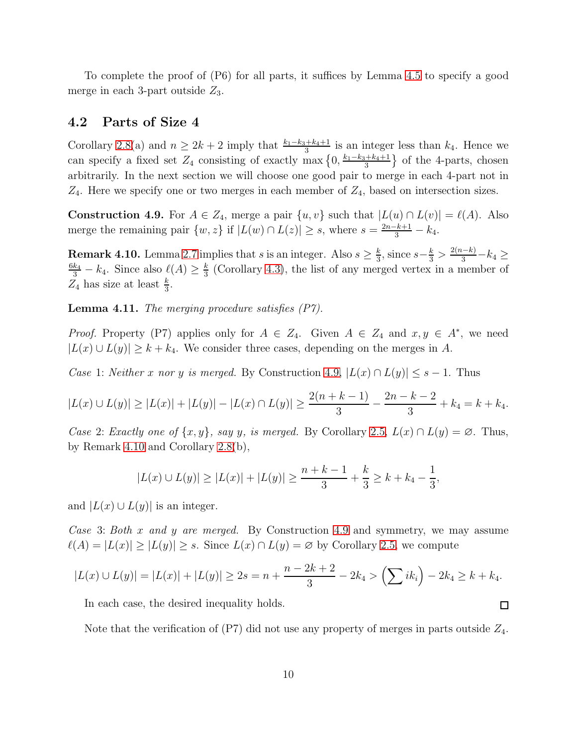To complete the proof of (P6) for all parts, it suffices by Lemma [4.5](#page-7-1) to specify a good merge in each 3-part outside  $Z_3$ .

#### 4.2 Parts of Size 4

Corollary [2.8\(](#page-4-2)a) and  $n \geq 2k+2$  imply that  $\frac{k_1-k_3+k_4+1}{3}$  is an integer less than  $k_4$ . Hence we can specify a fixed set  $Z_4$  consisting of exactly max  $\{0, \frac{k_1-k_3+k_4+1}{3}\}$  $\frac{+k_4+1}{3}$  of the 4-parts, chosen arbitrarily. In the next section we will choose one good pair to merge in each 4-part not in  $Z_4$ . Here we specify one or two merges in each member of  $Z_4$ , based on intersection sizes.

<span id="page-9-0"></span>Construction 4.9. For  $A \in Z_4$ , merge a pair  $\{u, v\}$  such that  $|L(u) \cap L(v)| = \ell(A)$ . Also merge the remaining pair  $\{w, z\}$  if  $|L(w) \cap L(z)| \geq s$ , where  $s = \frac{2n-k+1}{3} - k_4$ .

<span id="page-9-1"></span>**Remark 4.10.** Lemma [2.7](#page-4-1) implies that s is an integer. Also  $s \geq \frac{k}{3}$  $\frac{k}{3}$ , since  $s-\frac{k}{3} > \frac{2(n-k)}{3} - k_4 \ge$  $\frac{6k_4}{3} - k_4$ . Since also  $\ell(A) \ge \frac{k}{3}$  $\frac{k}{3}$  (Corollary [4.3\)](#page-7-2), the list of any merged vertex in a member of  $Z_4$  has size at least  $\frac{k}{3}$ .

**Lemma 4.11.** The merging procedure satisfies  $(P7)$ .

*Proof.* Property (P7) applies only for  $A \in Z_4$ . Given  $A \in Z_4$  and  $x, y \in A^*$ , we need  $|L(x) \cup L(y)| \geq k + k_4$ . We consider three cases, depending on the merges in A.

Case 1: Neither x nor y is merged. By Construction [4.9,](#page-9-0)  $|L(x) \cap L(y)| \leq s - 1$ . Thus

$$
|L(x) \cup L(y)| \ge |L(x)| + |L(y)| - |L(x) \cap L(y)| \ge \frac{2(n+k-1)}{3} - \frac{2n-k-2}{3} + k_4 = k + k_4.
$$

Case 2: Exactly one of  $\{x, y\}$ , say y, is merged. By Corollary [2.5,](#page-4-0)  $L(x) \cap L(y) = \emptyset$ . Thus, by Remark [4.10](#page-9-1) and Corollary [2.8\(](#page-4-2)b),

$$
|L(x) \cup L(y)| \ge |L(x)| + |L(y)| \ge \frac{n+k-1}{3} + \frac{k}{3} \ge k + k_4 - \frac{1}{3},
$$

and  $|L(x) \cup L(y)|$  is an integer.

Case 3: Both x and y are merged. By Construction [4.9](#page-9-0) and symmetry, we may assume  $\ell(A) = |L(x)| \ge |L(y)| \ge s$ . Since  $L(x) \cap L(y) = \emptyset$  by Corollary [2.5,](#page-4-0) we compute

$$
|L(x) \cup L(y)| = |L(x)| + |L(y)| \ge 2s = n + \frac{n - 2k + 2}{3} - 2k_4 > \left(\sum_{i} i k_i\right) - 2k_4 \ge k + k_4.
$$

In each case, the desired inequality holds.

Note that the verification of  $(P7)$  did not use any property of merges in parts outside  $Z_4$ .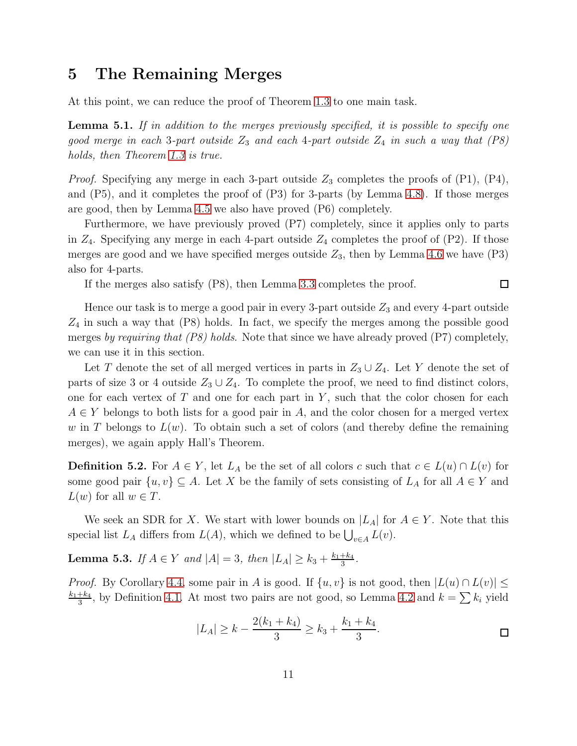### <span id="page-10-0"></span>5 The Remaining Merges

At this point, we can reduce the proof of Theorem [1.3](#page-1-1) to one main task.

<span id="page-10-1"></span>**Lemma 5.1.** If in addition to the merges previously specified, it is possible to specify one good merge in each 3-part outside  $Z_3$  and each 4-part outside  $Z_4$  in such a way that  $(P8)$ holds, then Theorem [1.3](#page-1-1) is true.

*Proof.* Specifying any merge in each 3-part outside  $Z_3$  completes the proofs of  $(P1)$ ,  $(P4)$ , and  $(P5)$ , and it completes the proof of  $(P3)$  for 3-parts (by Lemma [4.8\)](#page-8-1). If those merges are good, then by Lemma [4.5](#page-7-1) we also have proved (P6) completely.

Furthermore, we have previously proved (P7) completely, since it applies only to parts in  $Z_4$ . Specifying any merge in each 4-part outside  $Z_4$  completes the proof of  $(P2)$ . If those merges are good and we have specified merges outside  $Z_3$ , then by Lemma [4.6](#page-7-3) we have (P3) also for 4-parts.

If the merges also satisfy (P8), then Lemma [3.3](#page-6-2) completes the proof.

Hence our task is to merge a good pair in every 3-part outside  $Z_3$  and every 4-part outside  $Z_4$  in such a way that  $(P8)$  holds. In fact, we specify the merges among the possible good merges by requiring that  $(PS)$  holds. Note that since we have already proved  $(P7)$  completely, we can use it in this section.

Let T denote the set of all merged vertices in parts in  $Z_3 \cup Z_4$ . Let Y denote the set of parts of size 3 or 4 outside  $Z_3 \cup Z_4$ . To complete the proof, we need to find distinct colors, one for each vertex of  $T$  and one for each part in  $Y$ , such that the color chosen for each  $A \in Y$  belongs to both lists for a good pair in A, and the color chosen for a merged vertex w in T belongs to  $L(w)$ . To obtain such a set of colors (and thereby define the remaining merges), we again apply Hall's Theorem.

**Definition 5.2.** For  $A \in Y$ , let  $L_A$  be the set of all colors c such that  $c \in L(u) \cap L(v)$  for some good pair  $\{u, v\} \subseteq A$ . Let X be the family of sets consisting of  $L_A$  for all  $A \in Y$  and  $L(w)$  for all  $w \in T$ .

We seek an SDR for X. We start with lower bounds on  $|L_A|$  for  $A \in Y$ . Note that this special list  $L_A$  differs from  $L(A)$ , which we defined to be  $\bigcup_{v \in A} L(v)$ .

<span id="page-10-2"></span>**Lemma 5.3.** If  $A \in Y$  and  $|A| = 3$ , then  $|L_A| \ge k_3 + \frac{k_1 + k_4}{3}$  $\frac{+k_4}{3}$ .

*Proof.* By Corollary [4.4,](#page-7-0) some pair in A is good. If  $\{u, v\}$  is not good, then  $|L(u) \cap L(v)| \le$  $k_1+k_4$  $\frac{1+k_4}{3}$ , by Definition [4.1.](#page-6-1) At most two pairs are not good, so Lemma [4.2](#page-7-4) and  $k = \sum k_i$  yield

$$
|L_A| \ge k - \frac{2(k_1 + k_4)}{3} \ge k_3 + \frac{k_1 + k_4}{3}.
$$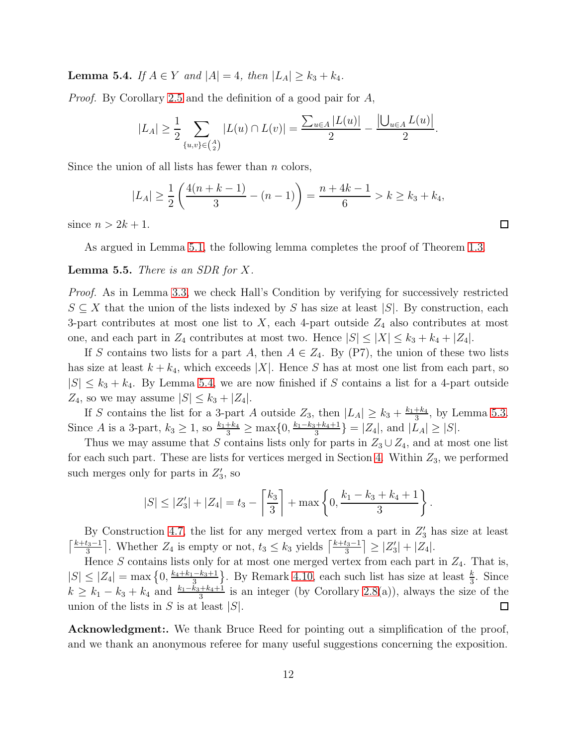<span id="page-11-0"></span>**Lemma 5.4.** If  $A \in Y$  and  $|A| = 4$ , then  $|L_A| \geq k_3 + k_4$ .

Proof. By Corollary [2.5](#page-4-0) and the definition of a good pair for A,

$$
|L_A| \ge \frac{1}{2} \sum_{\{u,v\} \in \binom{A}{2}} |L(u) \cap L(v)| = \frac{\sum_{u \in A} |L(u)|}{2} - \frac{|\bigcup_{u \in A} L(u)|}{2}.
$$

Since the union of all lists has fewer than  $n$  colors,

$$
|L_A| \ge \frac{1}{2} \left( \frac{4(n+k-1)}{3} - (n-1) \right) = \frac{n+4k-1}{6} > k \ge k_3 + k_4,
$$

since  $n > 2k + 1$ .

As argued in Lemma [5.1,](#page-10-1) the following lemma completes the proof of Theorem [1.3.](#page-1-1)

#### **Lemma 5.5.** There is an SDR for  $X$ .

Proof. As in Lemma [3.3,](#page-6-2) we check Hall's Condition by verifying for successively restricted  $S \subseteq X$  that the union of the lists indexed by S has size at least  $|S|$ . By construction, each 3-part contributes at most one list to  $X$ , each 4-part outside  $Z_4$  also contributes at most one, and each part in  $Z_4$  contributes at most two. Hence  $|S| \leq |X| \leq k_3 + k_4 + |Z_4|$ .

If S contains two lists for a part A, then  $A \in Z_4$ . By (P7), the union of these two lists has size at least  $k + k_4$ , which exceeds |X|. Hence S has at most one list from each part, so  $|S| \leq k_3 + k_4$ . By Lemma [5.4,](#page-11-0) we are now finished if S contains a list for a 4-part outside  $Z_4$ , so we may assume  $|S| \leq k_3 + |Z_4|$ .

If S contains the list for a 3-part A outside  $Z_3$ , then  $|L_A| \geq k_3 + \frac{k_1+k_4}{3}$  $\frac{+k_4}{3}$ , by Lemma [5.3.](#page-10-2) Since *A* is a 3-part,  $k_3 \ge 1$ , so  $\frac{k_1 + k_4}{3} \ge \max\{0, \frac{k_1 - k_3 + k_4 + 1}{3} \}$  $\{\frac{1+k_4+1}{3}\} = |Z_4|$ , and  $|L_A| \geq |S|$ .

Thus we may assume that S contains lists only for parts in  $Z_3 \cup Z_4$ , and at most one list for each such part. These are lists for vertices merged in Section [4.](#page-6-0) Within  $Z_3$ , we performed such merges only for parts in  $Z'_3$ , so

$$
|S| \leq |Z_3'| + |Z_4| = t_3 - \left\lceil \frac{k_3}{3} \right\rceil + \max\left\{0, \frac{k_1 - k_3 + k_4 + 1}{3}\right\}.
$$

By Construction [4.7,](#page-8-0) the list for any merged vertex from a part in  $Z'_3$  has size at least  $\lceil \frac{k+t_3-1}{3} \rceil$  $\left[\frac{t_3-1}{3}\right]$ . Whether  $Z_4$  is empty or not,  $t_3 \leq k_3$  yields  $\left[\frac{k+t_3-1}{3}\right]$  $\left|\frac{t_3-1}{3}\right| \geq |Z'_3| + |Z_4|.$ 

Hence  $S$  contains lists only for at most one merged vertex from each part in  $Z_4$ . That is,  $|S| \leq |Z_4| = \max\left\{0, \frac{k_4 + k_1 - k_3 + 1}{3}\right\}$ . By Remark [4.10,](#page-9-1) each such list has size at least  $\frac{k}{3}$ . Since  $k \geq k_1 - k_3 + k_4$  and  $\frac{k_1 - k_3 + k_4 + 1}{3}$  is an integer (by Corollary [2.8\(](#page-4-2)a)), always the size of the union of the lists in  $S$  is at least  $|S|$ .  $\Box$ 

Acknowledgment:. We thank Bruce Reed for pointing out a simplification of the proof, and we thank an anonymous referee for many useful suggestions concerning the exposition.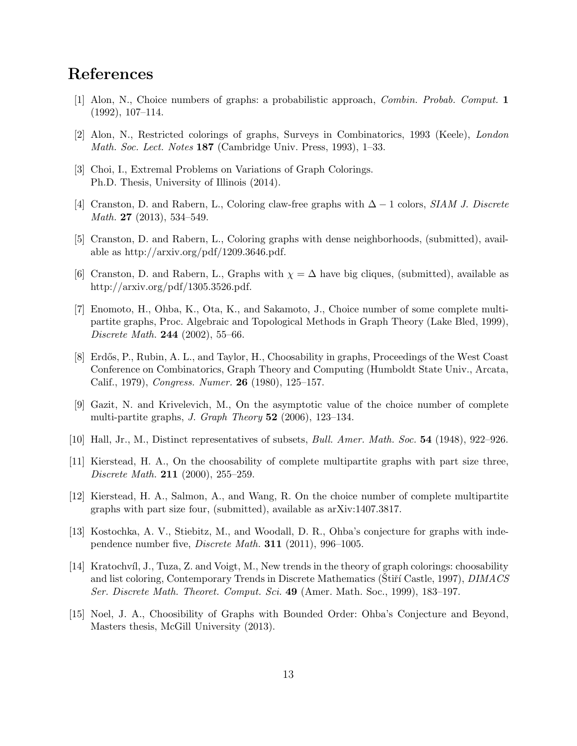# <span id="page-12-8"></span>References

- <span id="page-12-1"></span>[1] Alon, N., Choice numbers of graphs: a probabilistic approach, Combin. Probab. Comput. 1 (1992), 107–114.
- <span id="page-12-11"></span>[2] Alon, N., Restricted colorings of graphs, Surveys in Combinatorics, 1993 (Keele), London Math. Soc. Lect. Notes 187 (Cambridge Univ. Press, 1993), 1–33.
- <span id="page-12-12"></span>[3] Choi, I., Extremal Problems on Variations of Graph Colorings. Ph.D. Thesis, University of Illinois (2014).
- <span id="page-12-13"></span>[4] Cranston, D. and Rabern, L., Coloring claw-free graphs with  $\Delta - 1$  colors, SIAM J. Discrete Math. **27** (2013), 534-549.
- <span id="page-12-14"></span>[5] Cranston, D. and Rabern, L., Coloring graphs with dense neighborhoods, (submitted), available as http://arxiv.org/pdf/1209.3646.pdf.
- <span id="page-12-4"></span>[6] Cranston, D. and Rabern, L., Graphs with  $\chi = \Delta$  have big cliques, (submitted), available as http://arxiv.org/pdf/1305.3526.pdf.
- [7] Enomoto, H., Ohba, K., Ota, K., and Sakamoto, J., Choice number of some complete multipartite graphs, Proc. Algebraic and Topological Methods in Graph Theory (Lake Bled, 1999), Discrete Math. 244 (2002), 55–66.
- <span id="page-12-0"></span>[8] Erdős, P., Rubin, A. L., and Taylor, H., Choosability in graphs, Proceedings of the West Coast Conference on Combinatorics, Graph Theory and Computing (Humboldt State Univ., Arcata, Calif., 1979), Congress. Numer. 26 (1980), 125–157.
- <span id="page-12-9"></span>[9] Gazit, N. and Krivelevich, M., On the asymptotic value of the choice number of complete multi-partite graphs, *J. Graph Theory*  $52$  (2006), 123–134.
- <span id="page-12-10"></span><span id="page-12-6"></span>[10] Hall, Jr., M., Distinct representatives of subsets, Bull. Amer. Math. Soc. 54 (1948), 922–926.
- [11] Kierstead, H. A., On the choosability of complete multipartite graphs with part size three, Discrete Math. **211** (2000), 255–259.
- <span id="page-12-7"></span>[12] Kierstead, H. A., Salmon, A., and Wang, R. On the choice number of complete multipartite graphs with part size four, (submitted), available as arXiv:1407.3817.
- <span id="page-12-3"></span>[13] Kostochka, A. V., Stiebitz, M., and Woodall, D. R., Ohba's conjecture for graphs with independence number five, Discrete Math. 311 (2011), 996–1005.
- <span id="page-12-2"></span>[14] Kratochv´ıl, J., Tuza, Z. and Voigt, M., New trends in the theory of graph colorings: choosability and list coloring, Contemporary Trends in Discrete Mathematics (Stirt Castle, 1997), *DIMACS* Ser. Discrete Math. Theoret. Comput. Sci. 49 (Amer. Math. Soc., 1999), 183–197.
- <span id="page-12-5"></span>[15] Noel, J. A., Choosibility of Graphs with Bounded Order: Ohba's Conjecture and Beyond, Masters thesis, McGill University (2013).